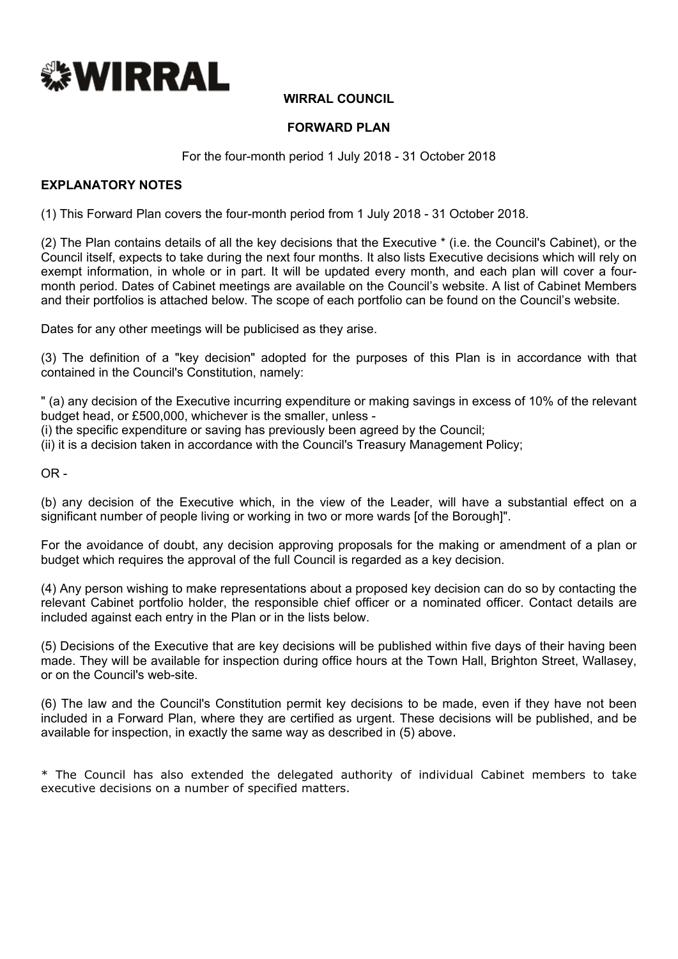

# **WIRRAL COUNCIL**

### **FORWARD PLAN**

For the four-month period 1 July 2018 - 31 October 2018

## **EXPLANATORY NOTES**

(1) This Forward Plan covers the four-month period from 1 July 2018 - 31 October 2018.

(2) The Plan contains details of all the key decisions that the Executive \* (i.e. the Council's Cabinet), or the Council itself, expects to take during the next four months. It also lists Executive decisions which will rely on exempt information, in whole or in part. It will be updated every month, and each plan will cover a fourmonth period. Dates of Cabinet meetings are available on the Council's website. A list of Cabinet Members and their portfolios is attached below. The scope of each portfolio can be found on the Council's website.

Dates for any other meetings will be publicised as they arise.

(3) The definition of a "key decision" adopted for the purposes of this Plan is in accordance with that contained in the Council's Constitution, namely:

" (a) any decision of the Executive incurring expenditure or making savings in excess of 10% of the relevant budget head, or £500,000, whichever is the smaller, unless -

(i) the specific expenditure or saving has previously been agreed by the Council;

(ii) it is a decision taken in accordance with the Council's Treasury Management Policy;

 $OR -$ 

(b) any decision of the Executive which, in the view of the Leader, will have a substantial effect on a significant number of people living or working in two or more wards [of the Borough]".

For the avoidance of doubt, any decision approving proposals for the making or amendment of a plan or budget which requires the approval of the full Council is regarded as a key decision.

(4) Any person wishing to make representations about a proposed key decision can do so by contacting the relevant Cabinet portfolio holder, the responsible chief officer or a nominated officer. Contact details are included against each entry in the Plan or in the lists below.

(5) Decisions of the Executive that are key decisions will be published within five days of their having been made. They will be available for inspection during office hours at the Town Hall, Brighton Street, Wallasey, or on the Council's web-site.

(6) The law and the Council's Constitution permit key decisions to be made, even if they have not been included in a Forward Plan, where they are certified as urgent. These decisions will be published, and be available for inspection, in exactly the same way as described in (5) above.

\* The Council has also extended the delegated authority of individual Cabinet members to take executive decisions on a number of specified matters.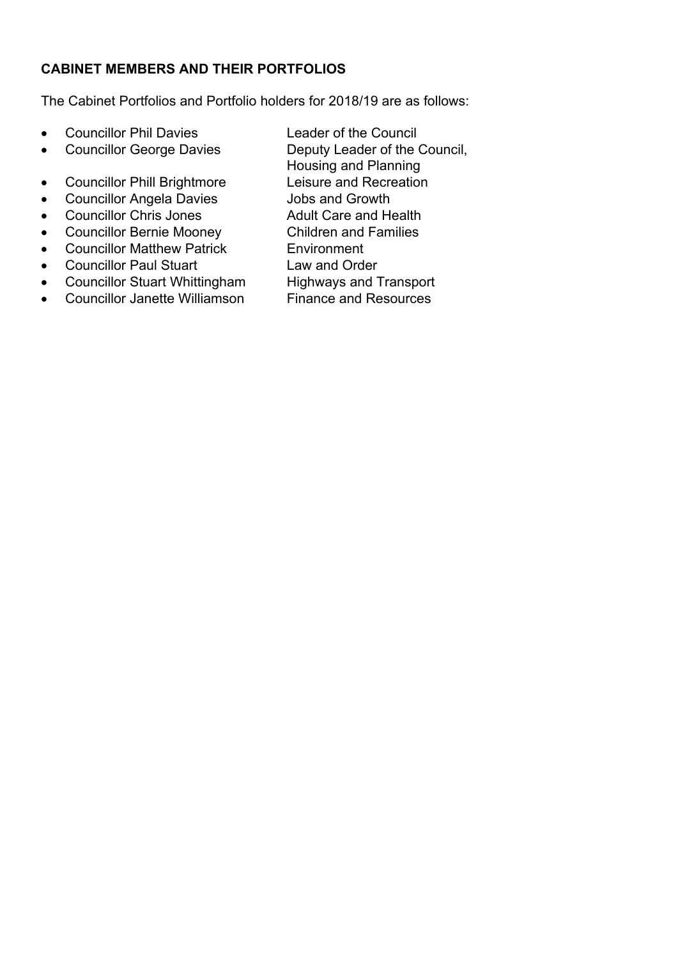# **CABINET MEMBERS AND THEIR PORTFOLIOS**

The Cabinet Portfolios and Portfolio holders for 2018/19 are as follows:

- Councillor Phil Davies Leader of the Council
- Councillor George Davies Deputy Leader of the Council,
- Councillor Phill Brightmore Leisure and Recreation
- Councillor Angela Davies Jobs and Growth
- Councillor Chris Jones Adult Care and Health
- Councillor Bernie Mooney Children and Families
- Councillor Matthew Patrick Environment
- Councillor Paul Stuart Law and Order
- Councillor Stuart Whittingham Highways and Transport<br>• Councillor Janette Williamson Finance and Resources  $\bullet$  Councillor Janette Williamson
- 
- Housing and Planning
- 
- 
- 
- 
- 
- 
- 
-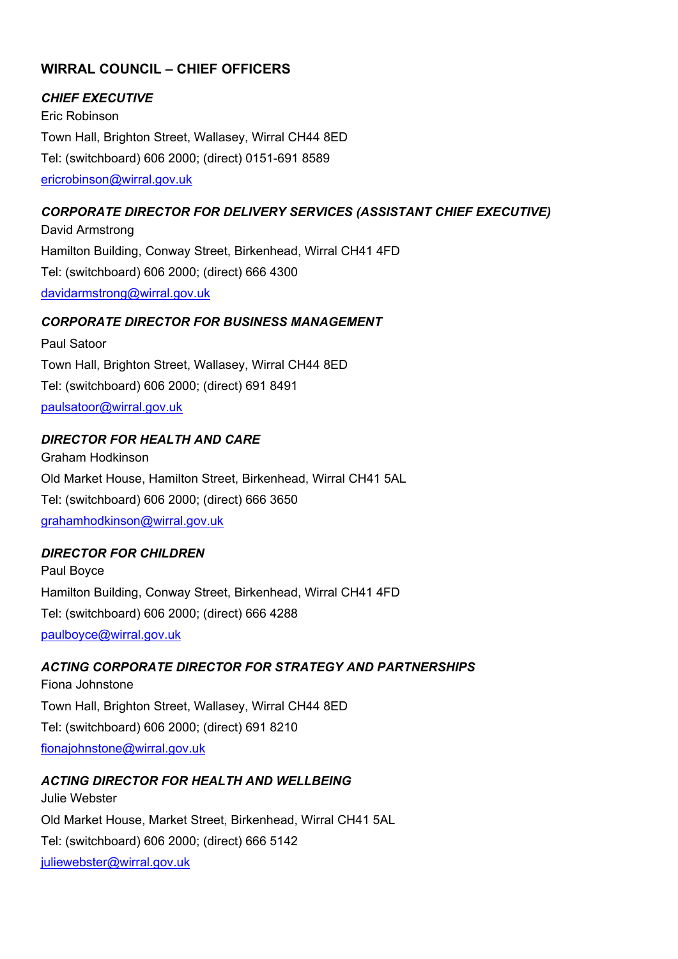# **WIRRAL COUNCIL – CHIEF OFFICERS**

## *CHIEF EXECUTIVE*

Eric Robinson Town Hall, Brighton Street, Wallasey, Wirral CH44 8ED Tel: (switchboard) 606 2000; (direct) 0151-691 8589 [ericrobinson@wirral.gov.uk](mailto:ericrobinson@wirral.gov.uk)

# *CORPORATE DIRECTOR FOR DELIVERY SERVICES (ASSISTANT CHIEF EXECUTIVE)*

David Armstrong Hamilton Building, Conway Street, Birkenhead, Wirral CH41 4FD Tel: (switchboard) 606 2000; (direct) 666 4300 [davidarmstrong@wirral.gov.uk](mailto:davidarmstrong@wirral.gov.uk)

#### *CORPORATE DIRECTOR FOR BUSINESS MANAGEMENT*

Paul Satoor Town Hall, Brighton Street, Wallasey, Wirral CH44 8ED Tel: (switchboard) 606 2000; (direct) 691 8491 [paulsatoor@wirral.gov.uk](mailto:paulsatoor@wirral.gov.uk)

### *DIRECTOR FOR HEALTH AND CARE*

Graham Hodkinson Old Market House, Hamilton Street, Birkenhead, Wirral CH41 5AL Tel: (switchboard) 606 2000; (direct) 666 3650 [grahamhodkinson@wirral.gov.uk](mailto:grahamhodkinson@wirral.gov.uk)

# *DIRECTOR FOR CHILDREN*

Paul Boyce Hamilton Building, Conway Street, Birkenhead, Wirral CH41 4FD Tel: (switchboard) 606 2000; (direct) 666 4288 [paulboyce@wirral.gov.uk](mailto:deborahgornik@wirral.gov.uk)

# *ACTING CORPORATE DIRECTOR FOR STRATEGY AND PARTNERSHIPS*

Fiona Johnstone Town Hall, Brighton Street, Wallasey, Wirral CH44 8ED Tel: (switchboard) 606 2000; (direct) 691 8210 [fionajohnstone@wirral.gov.uk](mailto:fionajohnstone@wirral.gov.uk)

#### *ACTING DIRECTOR FOR HEALTH AND WELLBEING* Julie Webster

Old Market House, Market Street, Birkenhead, Wirral CH41 5AL Tel: (switchboard) 606 2000; (direct) 666 5142 [juliewebster@wirral.gov.uk](mailto:juliewebster@wirral.gov.uk)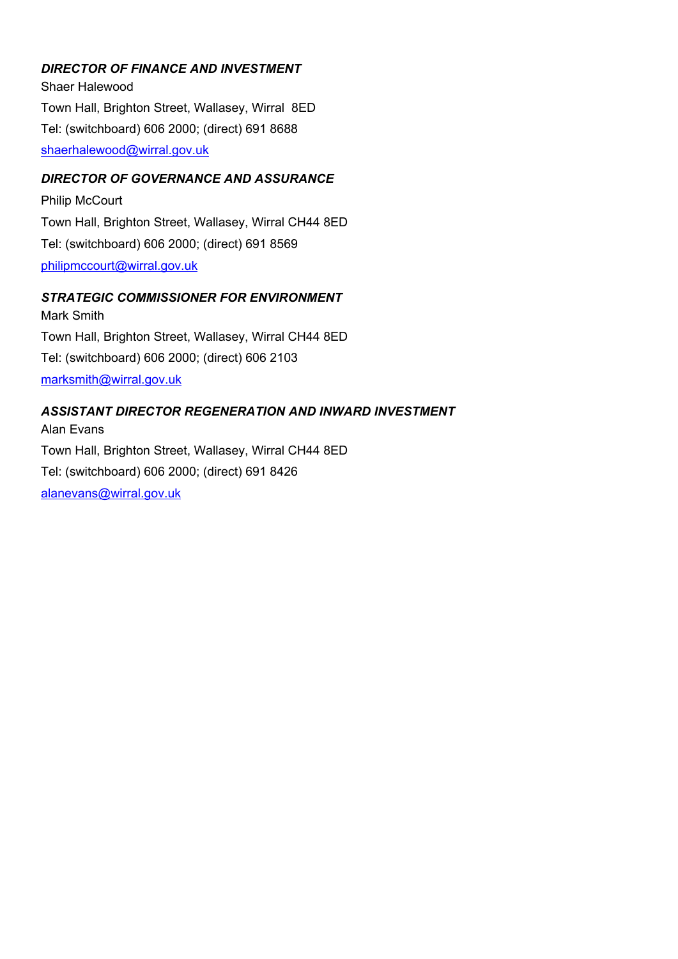# *DIRECTOR OF FINANCE AND INVESTMENT*

Shaer Halewood Town Hall, Brighton Street, Wallasey, Wirral 8ED Tel: (switchboard) 606 2000; (direct) 691 8688 [shaerhalewood@wirral.gov.uk](mailto:shaerhalewood@wirral.gov.uk)

## *DIRECTOR OF GOVERNANCE AND ASSURANCE*

Philip McCourt Town Hall, Brighton Street, Wallasey, Wirral CH44 8ED Tel: (switchboard) 606 2000; (direct) 691 8569 [philipmccourt@wirral.gov.uk](mailto:philipmccourt@wirral.gov.uk)

### *STRATEGIC COMMISSIONER FOR ENVIRONMENT*

Mark Smith Town Hall, Brighton Street, Wallasey, Wirral CH44 8ED Tel: (switchboard) 606 2000; (direct) 606 2103 [marksmith@wirral.gov.uk](mailto:marksmith@wirral.gov.uk)

#### *ASSISTANT DIRECTOR REGENERATION AND INWARD INVESTMENT*

Alan Evans Town Hall, Brighton Street, Wallasey, Wirral CH44 8ED Tel: (switchboard) 606 2000; (direct) 691 8426 [alanevans@wirral.gov.uk](mailto:alanevans@wirral.gov.uk)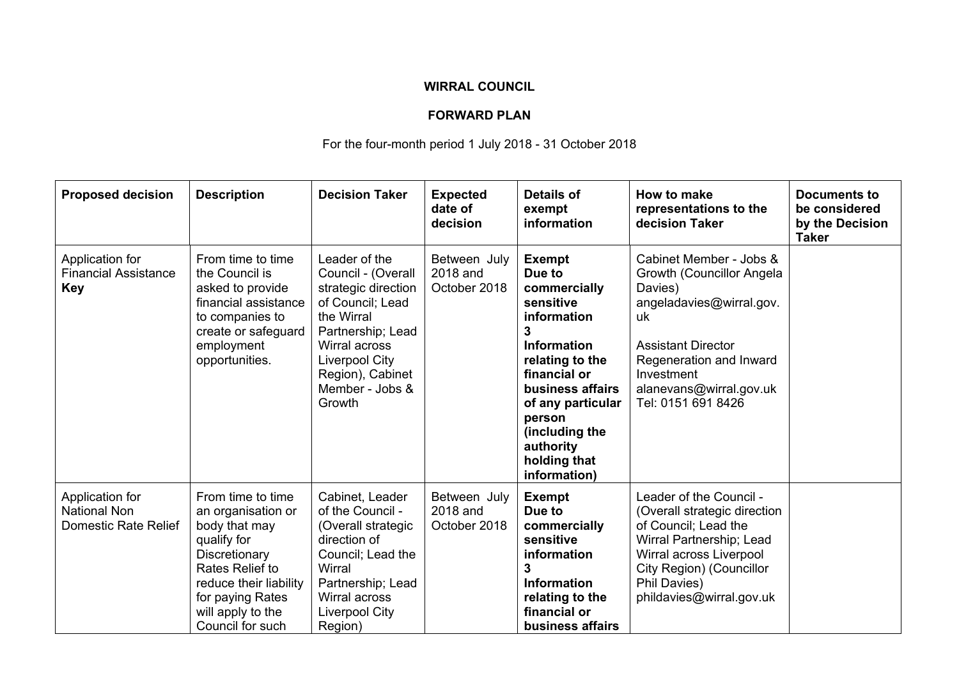# **WIRRAL COUNCIL**

# **FORWARD PLAN**

# For the four-month period 1 July 2018 - 31 October 2018

| <b>Proposed decision</b>                                       | <b>Description</b>                                                                                                                                                                                 | <b>Decision Taker</b>                                                                                                                                                                                        | <b>Expected</b><br>date of<br>decision   | <b>Details of</b><br>exempt<br>information                                                                                                                                                                                                          | How to make<br>representations to the<br>decision Taker                                                                                                                                                                  | <b>Documents to</b><br>be considered<br>by the Decision<br><b>Taker</b> |
|----------------------------------------------------------------|----------------------------------------------------------------------------------------------------------------------------------------------------------------------------------------------------|--------------------------------------------------------------------------------------------------------------------------------------------------------------------------------------------------------------|------------------------------------------|-----------------------------------------------------------------------------------------------------------------------------------------------------------------------------------------------------------------------------------------------------|--------------------------------------------------------------------------------------------------------------------------------------------------------------------------------------------------------------------------|-------------------------------------------------------------------------|
| Application for<br><b>Financial Assistance</b><br><b>Key</b>   | From time to time<br>the Council is<br>asked to provide<br>financial assistance<br>to companies to<br>create or safeguard<br>employment<br>opportunities.                                          | Leader of the<br>Council - (Overall<br>strategic direction<br>of Council; Lead<br>the Wirral<br>Partnership; Lead<br>Wirral across<br><b>Liverpool City</b><br>Region), Cabinet<br>Member - Jobs &<br>Growth | Between July<br>2018 and<br>October 2018 | <b>Exempt</b><br>Due to<br>commercially<br>sensitive<br>information<br>3<br><b>Information</b><br>relating to the<br>financial or<br>business affairs<br>of any particular<br>person<br>(including the<br>authority<br>holding that<br>information) | Cabinet Member - Jobs &<br>Growth (Councillor Angela<br>Davies)<br>angeladavies@wirral.gov.<br>uk<br><b>Assistant Director</b><br>Regeneration and Inward<br>Investment<br>alanevans@wirral.gov.uk<br>Tel: 0151 691 8426 |                                                                         |
| Application for<br><b>National Non</b><br>Domestic Rate Relief | From time to time<br>an organisation or<br>body that may<br>qualify for<br>Discretionary<br>Rates Relief to<br>reduce their liability<br>for paying Rates<br>will apply to the<br>Council for such | Cabinet, Leader<br>of the Council -<br>(Overall strategic<br>direction of<br>Council; Lead the<br>Wirral<br>Partnership; Lead<br>Wirral across<br><b>Liverpool City</b><br>Region)                           | Between July<br>2018 and<br>October 2018 | <b>Exempt</b><br>Due to<br>commercially<br>sensitive<br>information<br>3<br><b>Information</b><br>relating to the<br>financial or<br>business affairs                                                                                               | Leader of the Council -<br>(Overall strategic direction<br>of Council; Lead the<br>Wirral Partnership; Lead<br>Wirral across Liverpool<br>City Region) (Councillor<br>Phil Davies)<br>phildavies@wirral.gov.uk           |                                                                         |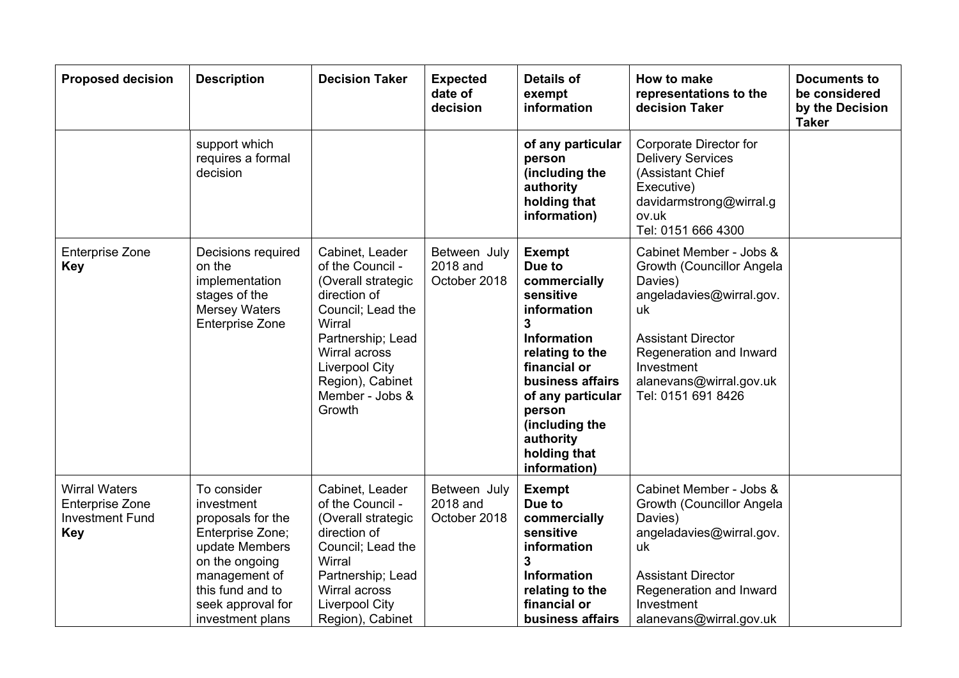| <b>Proposed decision</b>                                                               | <b>Description</b>                                                                                                                                                                   | <b>Decision Taker</b>                                                                                                                                                                                                    | <b>Expected</b><br>date of<br>decision   | <b>Details of</b><br>exempt<br>information                                                                                                                                                                                                          | How to make<br>representations to the<br>decision Taker                                                                                                                                                                  | <b>Documents to</b><br>be considered<br>by the Decision<br><b>Taker</b> |
|----------------------------------------------------------------------------------------|--------------------------------------------------------------------------------------------------------------------------------------------------------------------------------------|--------------------------------------------------------------------------------------------------------------------------------------------------------------------------------------------------------------------------|------------------------------------------|-----------------------------------------------------------------------------------------------------------------------------------------------------------------------------------------------------------------------------------------------------|--------------------------------------------------------------------------------------------------------------------------------------------------------------------------------------------------------------------------|-------------------------------------------------------------------------|
|                                                                                        | support which<br>requires a formal<br>decision                                                                                                                                       |                                                                                                                                                                                                                          |                                          | of any particular<br>person<br>(including the<br>authority<br>holding that<br>information)                                                                                                                                                          | Corporate Director for<br><b>Delivery Services</b><br>(Assistant Chief<br>Executive)<br>davidarmstrong@wirral.g<br>ov.uk<br>Tel: 0151 666 4300                                                                           |                                                                         |
| <b>Enterprise Zone</b><br><b>Key</b>                                                   | Decisions required<br>on the<br>implementation<br>stages of the<br><b>Mersey Waters</b><br><b>Enterprise Zone</b>                                                                    | Cabinet, Leader<br>of the Council -<br>(Overall strategic<br>direction of<br>Council; Lead the<br>Wirral<br>Partnership; Lead<br>Wirral across<br><b>Liverpool City</b><br>Region), Cabinet<br>Member - Jobs &<br>Growth | Between July<br>2018 and<br>October 2018 | <b>Exempt</b><br>Due to<br>commercially<br>sensitive<br>information<br>3<br><b>Information</b><br>relating to the<br>financial or<br>business affairs<br>of any particular<br>person<br>(including the<br>authority<br>holding that<br>information) | Cabinet Member - Jobs &<br>Growth (Councillor Angela<br>Davies)<br>angeladavies@wirral.gov.<br>uk<br><b>Assistant Director</b><br>Regeneration and Inward<br>Investment<br>alanevans@wirral.gov.uk<br>Tel: 0151 691 8426 |                                                                         |
| <b>Wirral Waters</b><br><b>Enterprise Zone</b><br><b>Investment Fund</b><br><b>Key</b> | To consider<br>investment<br>proposals for the<br>Enterprise Zone;<br>update Members<br>on the ongoing<br>management of<br>this fund and to<br>seek approval for<br>investment plans | Cabinet, Leader<br>of the Council -<br>(Overall strategic<br>direction of<br>Council; Lead the<br>Wirral<br>Partnership; Lead<br>Wirral across<br><b>Liverpool City</b><br>Region), Cabinet                              | Between July<br>2018 and<br>October 2018 | <b>Exempt</b><br>Due to<br>commercially<br>sensitive<br>information<br>3<br><b>Information</b><br>relating to the<br>financial or<br>business affairs                                                                                               | Cabinet Member - Jobs &<br>Growth (Councillor Angela<br>Davies)<br>angeladavies@wirral.gov.<br>uk<br><b>Assistant Director</b><br>Regeneration and Inward<br>Investment<br>alanevans@wirral.gov.uk                       |                                                                         |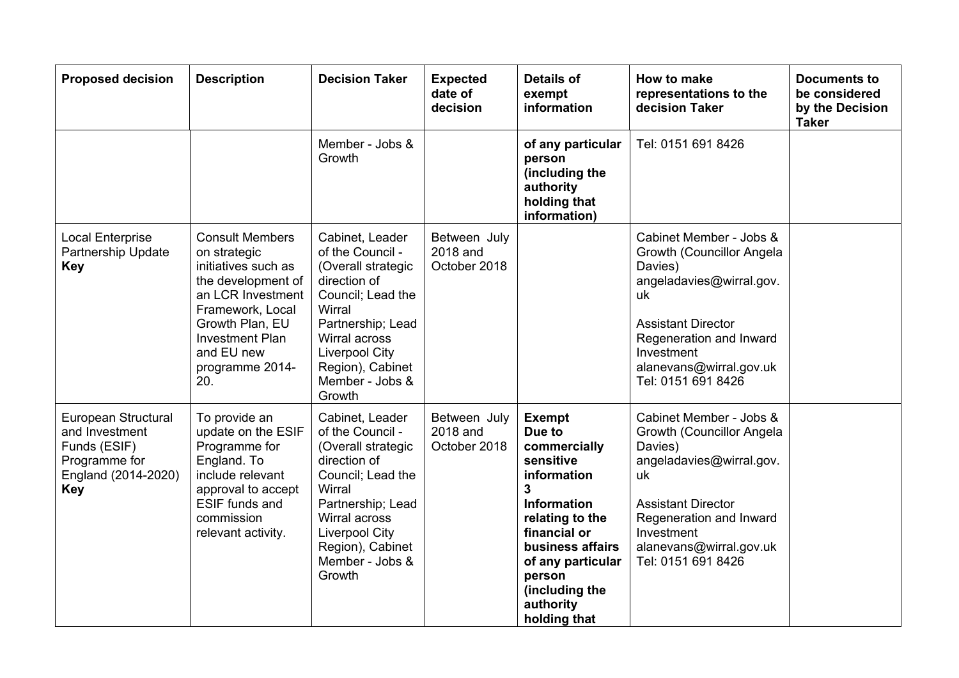| <b>Proposed decision</b>                                                                                    | <b>Description</b>                                                                                                                                                                                                | <b>Decision Taker</b>                                                                                                                                                                                                    | <b>Expected</b><br>date of<br>decision   | <b>Details of</b><br>exempt<br>information                                                                                                                                                                                                         | How to make<br>representations to the<br>decision Taker                                                                                                                                                                  | <b>Documents to</b><br>be considered<br>by the Decision<br><b>Taker</b> |
|-------------------------------------------------------------------------------------------------------------|-------------------------------------------------------------------------------------------------------------------------------------------------------------------------------------------------------------------|--------------------------------------------------------------------------------------------------------------------------------------------------------------------------------------------------------------------------|------------------------------------------|----------------------------------------------------------------------------------------------------------------------------------------------------------------------------------------------------------------------------------------------------|--------------------------------------------------------------------------------------------------------------------------------------------------------------------------------------------------------------------------|-------------------------------------------------------------------------|
|                                                                                                             |                                                                                                                                                                                                                   | Member - Jobs &<br>Growth                                                                                                                                                                                                |                                          | of any particular<br>person<br>(including the<br>authority<br>holding that<br>information)                                                                                                                                                         | Tel: 0151 691 8426                                                                                                                                                                                                       |                                                                         |
| <b>Local Enterprise</b><br>Partnership Update<br><b>Key</b>                                                 | <b>Consult Members</b><br>on strategic<br>initiatives such as<br>the development of<br>an LCR Investment<br>Framework, Local<br>Growth Plan, EU<br><b>Investment Plan</b><br>and EU new<br>programme 2014-<br>20. | Cabinet, Leader<br>of the Council -<br>(Overall strategic<br>direction of<br>Council; Lead the<br>Wirral<br>Partnership; Lead<br>Wirral across<br><b>Liverpool City</b><br>Region), Cabinet<br>Member - Jobs &<br>Growth | Between July<br>2018 and<br>October 2018 |                                                                                                                                                                                                                                                    | Cabinet Member - Jobs &<br>Growth (Councillor Angela<br>Davies)<br>angeladavies@wirral.gov.<br>uk<br><b>Assistant Director</b><br>Regeneration and Inward<br>Investment<br>alanevans@wirral.gov.uk<br>Tel: 0151 691 8426 |                                                                         |
| European Structural<br>and Investment<br>Funds (ESIF)<br>Programme for<br>England (2014-2020)<br><b>Key</b> | To provide an<br>update on the ESIF<br>Programme for<br>England. To<br>include relevant<br>approval to accept<br>ESIF funds and<br>commission<br>relevant activity.                                               | Cabinet, Leader<br>of the Council -<br>(Overall strategic<br>direction of<br>Council; Lead the<br>Wirral<br>Partnership; Lead<br>Wirral across<br><b>Liverpool City</b><br>Region), Cabinet<br>Member - Jobs &<br>Growth | Between July<br>2018 and<br>October 2018 | <b>Exempt</b><br>Due to<br>commercially<br>sensitive<br>information<br>$\overline{\mathbf{3}}$<br>Information<br>relating to the<br>financial or<br>business affairs<br>of any particular<br>person<br>(including the<br>authority<br>holding that | Cabinet Member - Jobs &<br>Growth (Councillor Angela<br>Davies)<br>angeladavies@wirral.gov.<br>uk<br><b>Assistant Director</b><br>Regeneration and Inward<br>Investment<br>alanevans@wirral.gov.uk<br>Tel: 0151 691 8426 |                                                                         |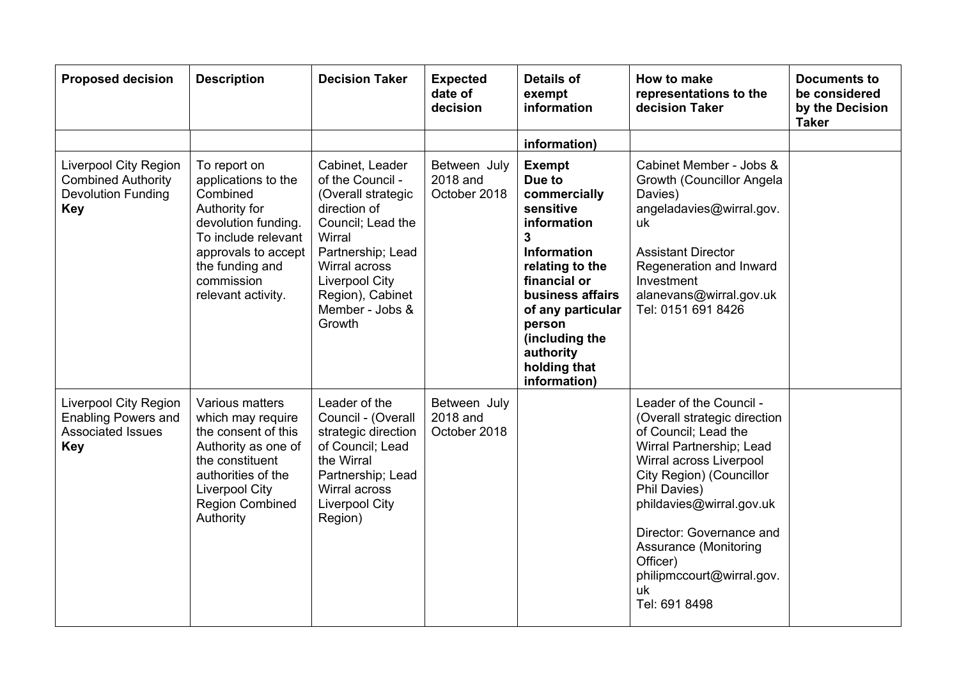| <b>Proposed decision</b>                                                                             | <b>Description</b>                                                                                                                                                                           | <b>Decision Taker</b>                                                                                                                                                                                                    | <b>Expected</b><br>date of<br>decision   | <b>Details of</b><br>exempt<br>information                                                                                                                                                                                                          | How to make<br>representations to the<br>decision Taker                                                                                                                                                                                                                                                                                    | <b>Documents to</b><br>be considered<br>by the Decision<br><b>Taker</b> |
|------------------------------------------------------------------------------------------------------|----------------------------------------------------------------------------------------------------------------------------------------------------------------------------------------------|--------------------------------------------------------------------------------------------------------------------------------------------------------------------------------------------------------------------------|------------------------------------------|-----------------------------------------------------------------------------------------------------------------------------------------------------------------------------------------------------------------------------------------------------|--------------------------------------------------------------------------------------------------------------------------------------------------------------------------------------------------------------------------------------------------------------------------------------------------------------------------------------------|-------------------------------------------------------------------------|
|                                                                                                      |                                                                                                                                                                                              |                                                                                                                                                                                                                          |                                          | information)                                                                                                                                                                                                                                        |                                                                                                                                                                                                                                                                                                                                            |                                                                         |
| <b>Liverpool City Region</b><br><b>Combined Authority</b><br><b>Devolution Funding</b><br><b>Key</b> | To report on<br>applications to the<br>Combined<br>Authority for<br>devolution funding.<br>To include relevant<br>approvals to accept<br>the funding and<br>commission<br>relevant activity. | Cabinet, Leader<br>of the Council -<br>(Overall strategic<br>direction of<br>Council; Lead the<br>Wirral<br>Partnership; Lead<br>Wirral across<br><b>Liverpool City</b><br>Region), Cabinet<br>Member - Jobs &<br>Growth | Between July<br>2018 and<br>October 2018 | <b>Exempt</b><br>Due to<br>commercially<br>sensitive<br>information<br>3<br><b>Information</b><br>relating to the<br>financial or<br>business affairs<br>of any particular<br>person<br>(including the<br>authority<br>holding that<br>information) | Cabinet Member - Jobs &<br>Growth (Councillor Angela<br>Davies)<br>angeladavies@wirral.gov.<br>uk<br><b>Assistant Director</b><br>Regeneration and Inward<br>Investment<br>alanevans@wirral.gov.uk<br>Tel: 0151 691 8426                                                                                                                   |                                                                         |
| <b>Liverpool City Region</b><br><b>Enabling Powers and</b><br><b>Associated Issues</b><br><b>Key</b> | Various matters<br>which may require<br>the consent of this<br>Authority as one of<br>the constituent<br>authorities of the<br>Liverpool City<br><b>Region Combined</b><br>Authority         | Leader of the<br>Council - (Overall<br>strategic direction<br>of Council; Lead<br>the Wirral<br>Partnership; Lead<br>Wirral across<br><b>Liverpool City</b><br>Region)                                                   | Between July<br>2018 and<br>October 2018 |                                                                                                                                                                                                                                                     | Leader of the Council -<br>(Overall strategic direction<br>of Council: Lead the<br>Wirral Partnership; Lead<br>Wirral across Liverpool<br>City Region) (Councillor<br>Phil Davies)<br>phildavies@wirral.gov.uk<br>Director: Governance and<br><b>Assurance (Monitoring</b><br>Officer)<br>philipmccourt@wirral.gov.<br>uk<br>Tel: 691 8498 |                                                                         |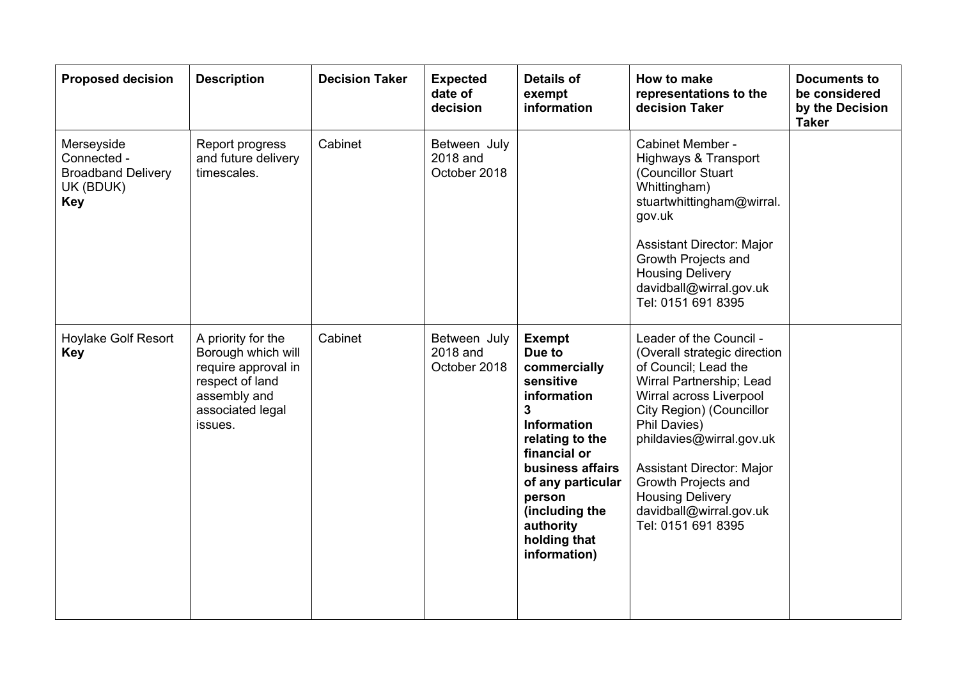| <b>Proposed decision</b>                                                          | <b>Description</b>                                                                                                                | <b>Decision Taker</b> | <b>Expected</b><br>date of<br>decision   | <b>Details of</b><br>exempt<br>information                                                                                                                                                                                                                     | How to make<br>representations to the<br>decision Taker                                                                                                                                                                                                                                                                                               | <b>Documents to</b><br>be considered<br>by the Decision<br><b>Taker</b> |
|-----------------------------------------------------------------------------------|-----------------------------------------------------------------------------------------------------------------------------------|-----------------------|------------------------------------------|----------------------------------------------------------------------------------------------------------------------------------------------------------------------------------------------------------------------------------------------------------------|-------------------------------------------------------------------------------------------------------------------------------------------------------------------------------------------------------------------------------------------------------------------------------------------------------------------------------------------------------|-------------------------------------------------------------------------|
| Merseyside<br>Connected -<br><b>Broadband Delivery</b><br>UK (BDUK)<br><b>Key</b> | Report progress<br>and future delivery<br>timescales.                                                                             | Cabinet               | Between July<br>2018 and<br>October 2018 |                                                                                                                                                                                                                                                                | Cabinet Member -<br><b>Highways &amp; Transport</b><br>(Councillor Stuart<br>Whittingham)<br>stuartwhittingham@wirral.<br>gov.uk<br><b>Assistant Director: Major</b><br>Growth Projects and<br><b>Housing Delivery</b><br>davidball@wirral.gov.uk<br>Tel: 0151 691 8395                                                                               |                                                                         |
| <b>Hoylake Golf Resort</b><br><b>Key</b>                                          | A priority for the<br>Borough which will<br>require approval in<br>respect of land<br>assembly and<br>associated legal<br>issues. | Cabinet               | Between July<br>2018 and<br>October 2018 | <b>Exempt</b><br>Due to<br>commercially<br>sensitive<br>information<br>$\mathbf{3}$<br><b>Information</b><br>relating to the<br>financial or<br>business affairs<br>of any particular<br>person<br>(including the<br>authority<br>holding that<br>information) | Leader of the Council -<br>(Overall strategic direction<br>of Council; Lead the<br>Wirral Partnership; Lead<br>Wirral across Liverpool<br>City Region) (Councillor<br>Phil Davies)<br>phildavies@wirral.gov.uk<br><b>Assistant Director: Major</b><br>Growth Projects and<br><b>Housing Delivery</b><br>davidball@wirral.gov.uk<br>Tel: 0151 691 8395 |                                                                         |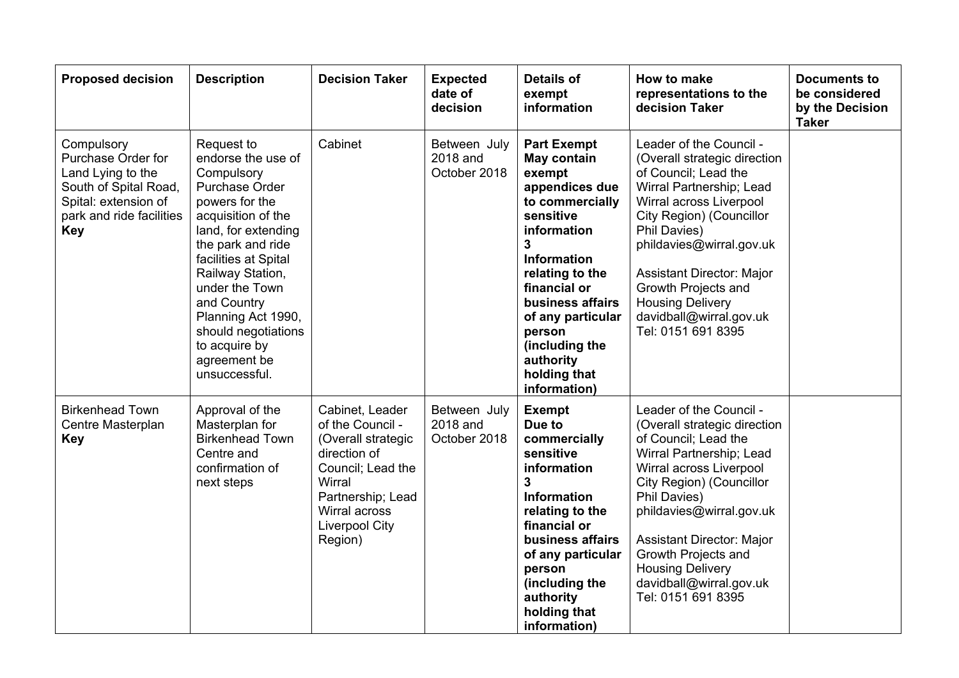| <b>Proposed decision</b>                                                                                                                         | <b>Description</b>                                                                                                                                                                                                                                                                                                               | <b>Decision Taker</b>                                                                                                                                                              | <b>Expected</b><br>date of<br>decision   | <b>Details of</b><br>exempt<br>information                                                                                                                                                                                                                                                              | How to make<br>representations to the<br>decision Taker                                                                                                                                                                                                                                                                                               | <b>Documents to</b><br>be considered<br>by the Decision<br><b>Taker</b> |
|--------------------------------------------------------------------------------------------------------------------------------------------------|----------------------------------------------------------------------------------------------------------------------------------------------------------------------------------------------------------------------------------------------------------------------------------------------------------------------------------|------------------------------------------------------------------------------------------------------------------------------------------------------------------------------------|------------------------------------------|---------------------------------------------------------------------------------------------------------------------------------------------------------------------------------------------------------------------------------------------------------------------------------------------------------|-------------------------------------------------------------------------------------------------------------------------------------------------------------------------------------------------------------------------------------------------------------------------------------------------------------------------------------------------------|-------------------------------------------------------------------------|
| Compulsory<br>Purchase Order for<br>Land Lying to the<br>South of Spital Road,<br>Spital: extension of<br>park and ride facilities<br><b>Key</b> | Request to<br>endorse the use of<br>Compulsory<br>Purchase Order<br>powers for the<br>acquisition of the<br>land, for extending<br>the park and ride<br>facilities at Spital<br>Railway Station,<br>under the Town<br>and Country<br>Planning Act 1990,<br>should negotiations<br>to acquire by<br>agreement be<br>unsuccessful. | Cabinet                                                                                                                                                                            | Between July<br>2018 and<br>October 2018 | <b>Part Exempt</b><br>May contain<br>exempt<br>appendices due<br>to commercially<br>sensitive<br>information<br>$\mathbf{3}$<br><b>Information</b><br>relating to the<br>financial or<br>business affairs<br>of any particular<br>person<br>(including the<br>authority<br>holding that<br>information) | Leader of the Council -<br>(Overall strategic direction<br>of Council: Lead the<br>Wirral Partnership; Lead<br>Wirral across Liverpool<br>City Region) (Councillor<br>Phil Davies)<br>phildavies@wirral.gov.uk<br><b>Assistant Director: Major</b><br>Growth Projects and<br><b>Housing Delivery</b><br>davidball@wirral.gov.uk<br>Tel: 0151 691 8395 |                                                                         |
| <b>Birkenhead Town</b><br>Centre Masterplan<br><b>Key</b>                                                                                        | Approval of the<br>Masterplan for<br><b>Birkenhead Town</b><br>Centre and<br>confirmation of<br>next steps                                                                                                                                                                                                                       | Cabinet, Leader<br>of the Council -<br>(Overall strategic<br>direction of<br>Council; Lead the<br>Wirral<br>Partnership; Lead<br>Wirral across<br><b>Liverpool City</b><br>Region) | Between July<br>2018 and<br>October 2018 | <b>Exempt</b><br>Due to<br>commercially<br>sensitive<br>information<br>$\overline{\mathbf{3}}$<br><b>Information</b><br>relating to the<br>financial or<br>business affairs<br>of any particular<br>person<br>(including the<br>authority<br>holding that<br>information)                               | Leader of the Council -<br>(Overall strategic direction<br>of Council; Lead the<br>Wirral Partnership; Lead<br>Wirral across Liverpool<br>City Region) (Councillor<br>Phil Davies)<br>phildavies@wirral.gov.uk<br><b>Assistant Director: Major</b><br>Growth Projects and<br><b>Housing Delivery</b><br>davidball@wirral.gov.uk<br>Tel: 0151 691 8395 |                                                                         |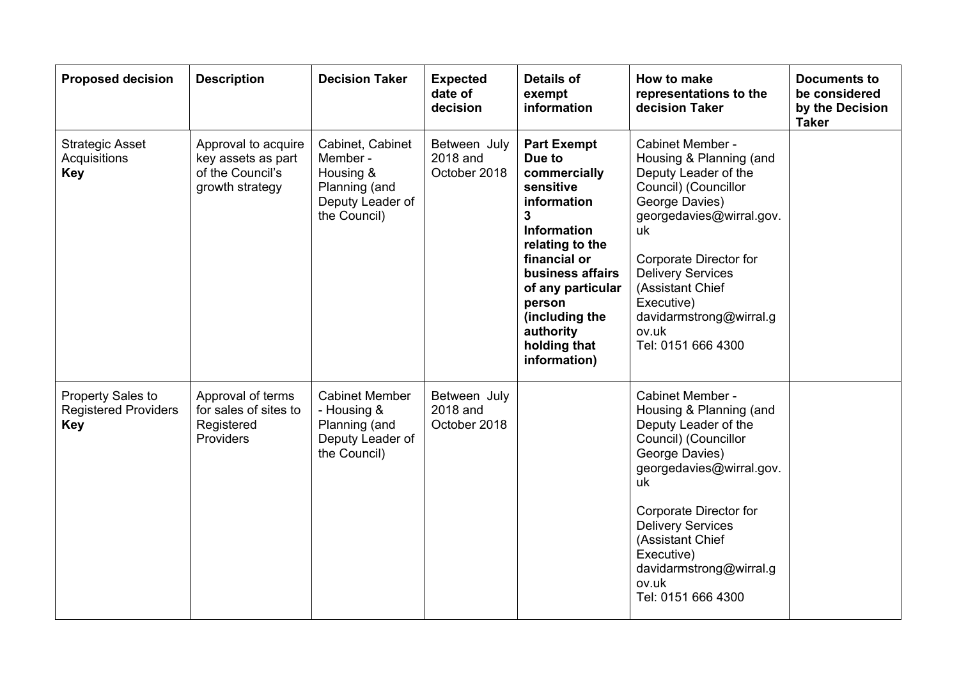| <b>Proposed decision</b>                                       | <b>Description</b>                                                               | <b>Decision Taker</b>                                                                          | <b>Expected</b><br>date of<br>decision   | <b>Details of</b><br>exempt<br>information                                                                                                                                                                                                               | How to make<br>representations to the<br>decision Taker                                                                                                                                                                                                                                           | <b>Documents to</b><br>be considered<br>by the Decision<br><b>Taker</b> |
|----------------------------------------------------------------|----------------------------------------------------------------------------------|------------------------------------------------------------------------------------------------|------------------------------------------|----------------------------------------------------------------------------------------------------------------------------------------------------------------------------------------------------------------------------------------------------------|---------------------------------------------------------------------------------------------------------------------------------------------------------------------------------------------------------------------------------------------------------------------------------------------------|-------------------------------------------------------------------------|
| <b>Strategic Asset</b><br>Acquisitions<br><b>Key</b>           | Approval to acquire<br>key assets as part<br>of the Council's<br>growth strategy | Cabinet, Cabinet<br>Member -<br>Housing &<br>Planning (and<br>Deputy Leader of<br>the Council) | Between July<br>2018 and<br>October 2018 | <b>Part Exempt</b><br>Due to<br>commercially<br>sensitive<br>information<br>3<br><b>Information</b><br>relating to the<br>financial or<br>business affairs<br>of any particular<br>person<br>(including the<br>authority<br>holding that<br>information) | Cabinet Member -<br>Housing & Planning (and<br>Deputy Leader of the<br>Council) (Councillor<br>George Davies)<br>georgedavies@wirral.gov.<br>uk<br>Corporate Director for<br><b>Delivery Services</b><br>(Assistant Chief<br>Executive)<br>davidarmstrong@wirral.g<br>ov.uk<br>Tel: 0151 666 4300 |                                                                         |
| Property Sales to<br><b>Registered Providers</b><br><b>Key</b> | Approval of terms<br>for sales of sites to<br>Registered<br><b>Providers</b>     | <b>Cabinet Member</b><br>- Housing &<br>Planning (and<br>Deputy Leader of<br>the Council)      | Between July<br>2018 and<br>October 2018 |                                                                                                                                                                                                                                                          | Cabinet Member -<br>Housing & Planning (and<br>Deputy Leader of the<br>Council) (Councillor<br>George Davies)<br>georgedavies@wirral.gov.<br>uk<br>Corporate Director for<br><b>Delivery Services</b><br>(Assistant Chief<br>Executive)<br>davidarmstrong@wirral.g<br>ov.uk<br>Tel: 0151 666 4300 |                                                                         |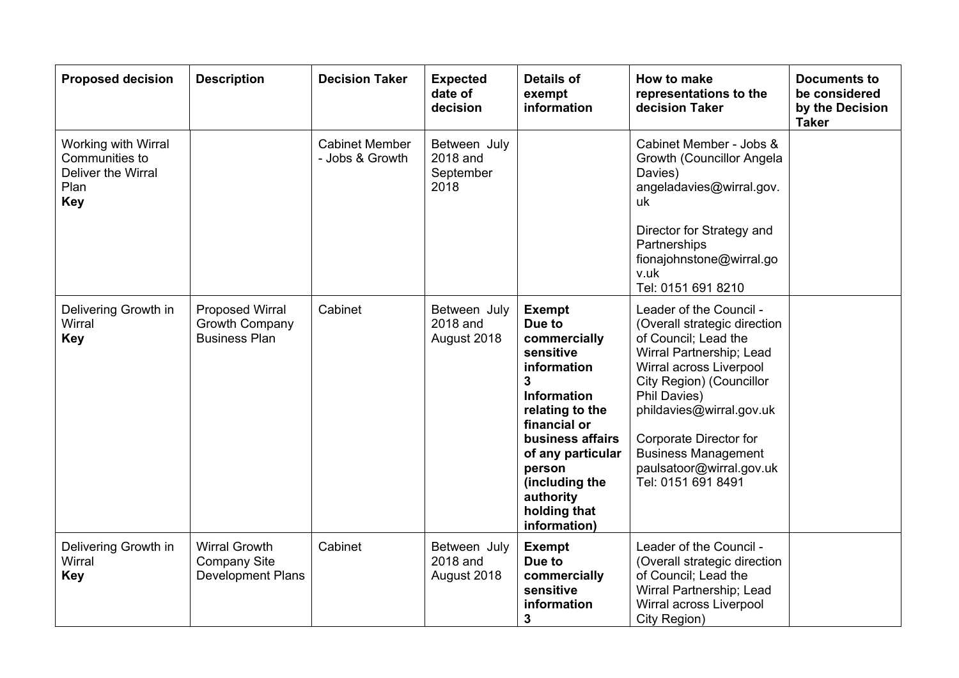| <b>Proposed decision</b>                                                          | <b>Description</b>                                                      | <b>Decision Taker</b>                    | <b>Expected</b><br>date of<br>decision        | <b>Details of</b><br>exempt<br>information                                                                                                                                                                                                          | How to make<br>representations to the<br>decision Taker                                                                                                                                                                                                                                                                  | <b>Documents to</b><br>be considered<br>by the Decision<br><b>Taker</b> |
|-----------------------------------------------------------------------------------|-------------------------------------------------------------------------|------------------------------------------|-----------------------------------------------|-----------------------------------------------------------------------------------------------------------------------------------------------------------------------------------------------------------------------------------------------------|--------------------------------------------------------------------------------------------------------------------------------------------------------------------------------------------------------------------------------------------------------------------------------------------------------------------------|-------------------------------------------------------------------------|
| Working with Wirral<br>Communities to<br>Deliver the Wirral<br>Plan<br><b>Key</b> |                                                                         | <b>Cabinet Member</b><br>- Jobs & Growth | Between July<br>2018 and<br>September<br>2018 |                                                                                                                                                                                                                                                     | Cabinet Member - Jobs &<br>Growth (Councillor Angela<br>Davies)<br>angeladavies@wirral.gov.<br>uk<br>Director for Strategy and<br>Partnerships<br>fionajohnstone@wirral.go<br>v.uk<br>Tel: 0151 691 8210                                                                                                                 |                                                                         |
| Delivering Growth in<br>Wirral<br><b>Key</b>                                      | Proposed Wirral<br>Growth Company<br><b>Business Plan</b>               | Cabinet                                  | Between July<br>2018 and<br>August 2018       | <b>Exempt</b><br>Due to<br>commercially<br>sensitive<br>information<br>3<br><b>Information</b><br>relating to the<br>financial or<br>business affairs<br>of any particular<br>person<br>(including the<br>authority<br>holding that<br>information) | Leader of the Council -<br>(Overall strategic direction<br>of Council; Lead the<br>Wirral Partnership; Lead<br>Wirral across Liverpool<br>City Region) (Councillor<br>Phil Davies)<br>phildavies@wirral.gov.uk<br>Corporate Director for<br><b>Business Management</b><br>paulsatoor@wirral.gov.uk<br>Tel: 0151 691 8491 |                                                                         |
| Delivering Growth in<br>Wirral<br><b>Key</b>                                      | <b>Wirral Growth</b><br><b>Company Site</b><br><b>Development Plans</b> | Cabinet                                  | Between July<br>2018 and<br>August 2018       | <b>Exempt</b><br>Due to<br>commercially<br>sensitive<br>information<br>3                                                                                                                                                                            | Leader of the Council -<br>(Overall strategic direction<br>of Council; Lead the<br>Wirral Partnership; Lead<br>Wirral across Liverpool<br>City Region)                                                                                                                                                                   |                                                                         |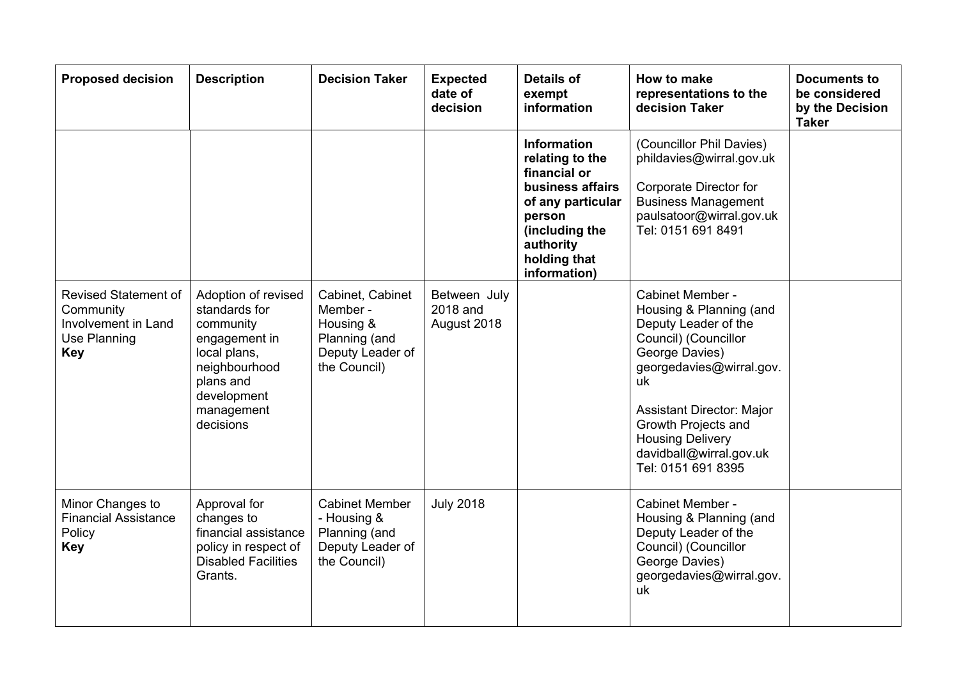| <b>Proposed decision</b>                                                                      | <b>Description</b>                                                                                                                                         | <b>Decision Taker</b>                                                                          | <b>Expected</b><br>date of<br>decision  | <b>Details of</b><br>exempt<br>information                                                                                                                              | How to make<br>representations to the<br>decision Taker                                                                                                                                                                                                                         | <b>Documents to</b><br>be considered<br>by the Decision<br><b>Taker</b> |
|-----------------------------------------------------------------------------------------------|------------------------------------------------------------------------------------------------------------------------------------------------------------|------------------------------------------------------------------------------------------------|-----------------------------------------|-------------------------------------------------------------------------------------------------------------------------------------------------------------------------|---------------------------------------------------------------------------------------------------------------------------------------------------------------------------------------------------------------------------------------------------------------------------------|-------------------------------------------------------------------------|
|                                                                                               |                                                                                                                                                            |                                                                                                |                                         | <b>Information</b><br>relating to the<br>financial or<br>business affairs<br>of any particular<br>person<br>(including the<br>authority<br>holding that<br>information) | (Councillor Phil Davies)<br>phildavies@wirral.gov.uk<br>Corporate Director for<br><b>Business Management</b><br>paulsatoor@wirral.gov.uk<br>Tel: 0151 691 8491                                                                                                                  |                                                                         |
| <b>Revised Statement of</b><br>Community<br>Involvement in Land<br>Use Planning<br><b>Key</b> | Adoption of revised<br>standards for<br>community<br>engagement in<br>local plans,<br>neighbourhood<br>plans and<br>development<br>management<br>decisions | Cabinet, Cabinet<br>Member -<br>Housing &<br>Planning (and<br>Deputy Leader of<br>the Council) | Between July<br>2018 and<br>August 2018 |                                                                                                                                                                         | Cabinet Member -<br>Housing & Planning (and<br>Deputy Leader of the<br>Council) (Councillor<br>George Davies)<br>georgedavies@wirral.gov.<br>uk<br>Assistant Director: Major<br>Growth Projects and<br><b>Housing Delivery</b><br>davidball@wirral.gov.uk<br>Tel: 0151 691 8395 |                                                                         |
| Minor Changes to<br><b>Financial Assistance</b><br>Policy<br><b>Key</b>                       | Approval for<br>changes to<br>financial assistance<br>policy in respect of<br><b>Disabled Facilities</b><br>Grants.                                        | <b>Cabinet Member</b><br>- Housing &<br>Planning (and<br>Deputy Leader of<br>the Council)      | <b>July 2018</b>                        |                                                                                                                                                                         | Cabinet Member -<br>Housing & Planning (and<br>Deputy Leader of the<br>Council) (Councillor<br>George Davies)<br>georgedavies@wirral.gov.<br>uk                                                                                                                                 |                                                                         |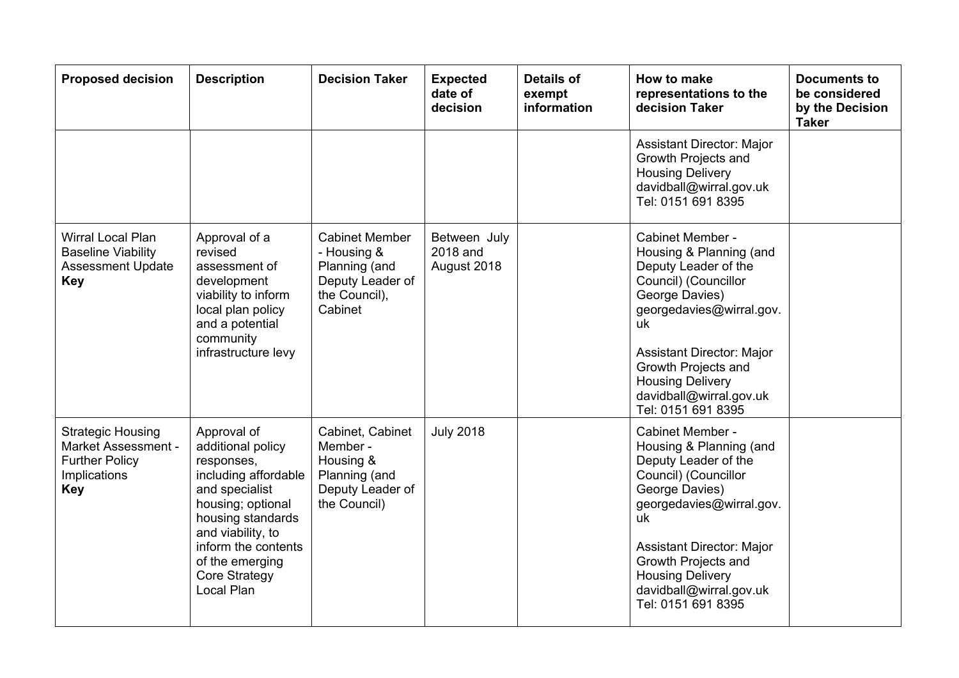| <b>Proposed decision</b>                                                                                      | <b>Description</b>                                                                                                                                                                                                               | <b>Decision Taker</b>                                                                                 | <b>Expected</b><br>date of<br>decision  | <b>Details of</b><br>exempt<br>information | How to make<br>representations to the<br>decision Taker                                                                                                                                                                                                                                | <b>Documents to</b><br>be considered<br>by the Decision<br><b>Taker</b> |
|---------------------------------------------------------------------------------------------------------------|----------------------------------------------------------------------------------------------------------------------------------------------------------------------------------------------------------------------------------|-------------------------------------------------------------------------------------------------------|-----------------------------------------|--------------------------------------------|----------------------------------------------------------------------------------------------------------------------------------------------------------------------------------------------------------------------------------------------------------------------------------------|-------------------------------------------------------------------------|
|                                                                                                               |                                                                                                                                                                                                                                  |                                                                                                       |                                         |                                            | <b>Assistant Director: Major</b><br>Growth Projects and<br><b>Housing Delivery</b><br>davidball@wirral.gov.uk<br>Tel: 0151 691 8395                                                                                                                                                    |                                                                         |
| Wirral Local Plan<br><b>Baseline Viability</b><br><b>Assessment Update</b><br><b>Key</b>                      | Approval of a<br>revised<br>assessment of<br>development<br>viability to inform<br>local plan policy<br>and a potential<br>community<br>infrastructure levy                                                                      | <b>Cabinet Member</b><br>- Housing &<br>Planning (and<br>Deputy Leader of<br>the Council),<br>Cabinet | Between July<br>2018 and<br>August 2018 |                                            | Cabinet Member -<br>Housing & Planning (and<br>Deputy Leader of the<br>Council) (Councillor<br>George Davies)<br>georgedavies@wirral.gov.<br>uk<br><b>Assistant Director: Major</b><br>Growth Projects and<br><b>Housing Delivery</b><br>davidball@wirral.gov.uk<br>Tel: 0151 691 8395 |                                                                         |
| <b>Strategic Housing</b><br><b>Market Assessment -</b><br><b>Further Policy</b><br>Implications<br><b>Key</b> | Approval of<br>additional policy<br>responses,<br>including affordable<br>and specialist<br>housing; optional<br>housing standards<br>and viability, to<br>inform the contents<br>of the emerging<br>Core Strategy<br>Local Plan | Cabinet, Cabinet<br>Member -<br>Housing &<br>Planning (and<br>Deputy Leader of<br>the Council)        | <b>July 2018</b>                        |                                            | Cabinet Member -<br>Housing & Planning (and<br>Deputy Leader of the<br>Council) (Councillor<br>George Davies)<br>georgedavies@wirral.gov.<br>uk<br><b>Assistant Director: Major</b><br>Growth Projects and<br><b>Housing Delivery</b><br>davidball@wirral.gov.uk<br>Tel: 0151 691 8395 |                                                                         |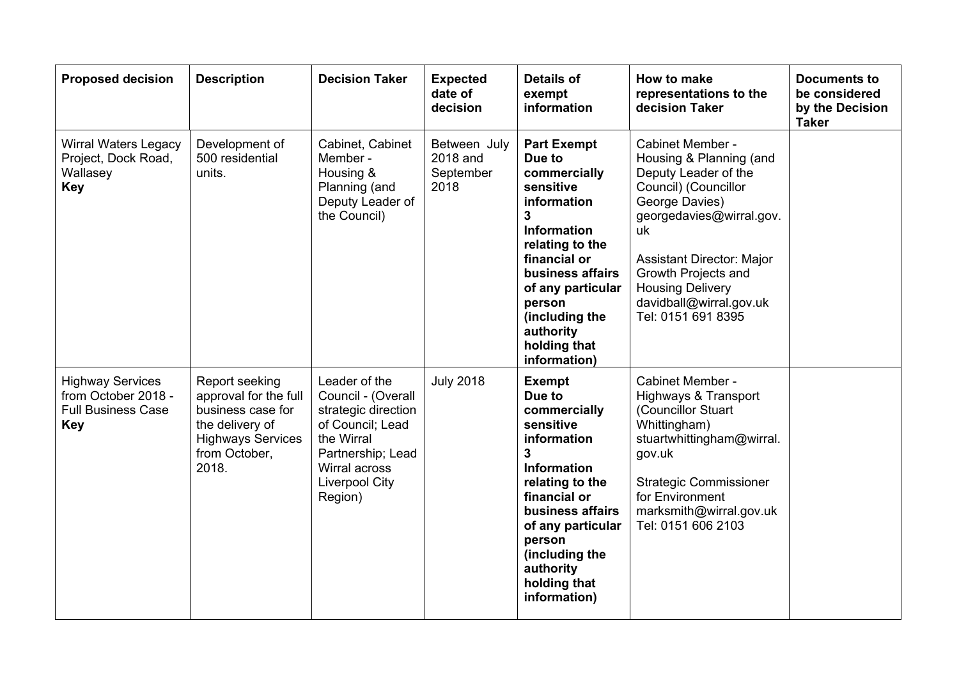| <b>Proposed decision</b>                                                                  | <b>Description</b>                                                                                                                    | <b>Decision Taker</b>                                                                                                                                                  | <b>Expected</b><br>date of<br>decision        | <b>Details of</b><br>exempt<br>information                                                                                                                                                                                                               | How to make<br>representations to the<br>decision Taker                                                                                                                                                                                                                                | <b>Documents to</b><br>be considered<br>by the Decision<br><b>Taker</b> |
|-------------------------------------------------------------------------------------------|---------------------------------------------------------------------------------------------------------------------------------------|------------------------------------------------------------------------------------------------------------------------------------------------------------------------|-----------------------------------------------|----------------------------------------------------------------------------------------------------------------------------------------------------------------------------------------------------------------------------------------------------------|----------------------------------------------------------------------------------------------------------------------------------------------------------------------------------------------------------------------------------------------------------------------------------------|-------------------------------------------------------------------------|
| <b>Wirral Waters Legacy</b><br>Project, Dock Road,<br>Wallasey<br><b>Key</b>              | Development of<br>500 residential<br>units.                                                                                           | Cabinet, Cabinet<br>Member -<br>Housing &<br>Planning (and<br>Deputy Leader of<br>the Council)                                                                         | Between July<br>2018 and<br>September<br>2018 | <b>Part Exempt</b><br>Due to<br>commercially<br>sensitive<br>information<br>3<br><b>Information</b><br>relating to the<br>financial or<br>business affairs<br>of any particular<br>person<br>(including the<br>authority<br>holding that<br>information) | Cabinet Member -<br>Housing & Planning (and<br>Deputy Leader of the<br>Council) (Councillor<br>George Davies)<br>georgedavies@wirral.gov.<br>uk<br><b>Assistant Director: Major</b><br>Growth Projects and<br><b>Housing Delivery</b><br>davidball@wirral.gov.uk<br>Tel: 0151 691 8395 |                                                                         |
| <b>Highway Services</b><br>from October 2018 -<br><b>Full Business Case</b><br><b>Key</b> | Report seeking<br>approval for the full<br>business case for<br>the delivery of<br><b>Highways Services</b><br>from October,<br>2018. | Leader of the<br>Council - (Overall<br>strategic direction<br>of Council; Lead<br>the Wirral<br>Partnership; Lead<br>Wirral across<br><b>Liverpool City</b><br>Region) | <b>July 2018</b>                              | <b>Exempt</b><br>Due to<br>commercially<br>sensitive<br>information<br>3<br><b>Information</b><br>relating to the<br>financial or<br>business affairs<br>of any particular<br>person<br>(including the<br>authority<br>holding that<br>information)      | Cabinet Member -<br>Highways & Transport<br>(Councillor Stuart<br>Whittingham)<br>stuartwhittingham@wirral.<br>gov.uk<br><b>Strategic Commissioner</b><br>for Environment<br>marksmith@wirral.gov.uk<br>Tel: 0151 606 2103                                                             |                                                                         |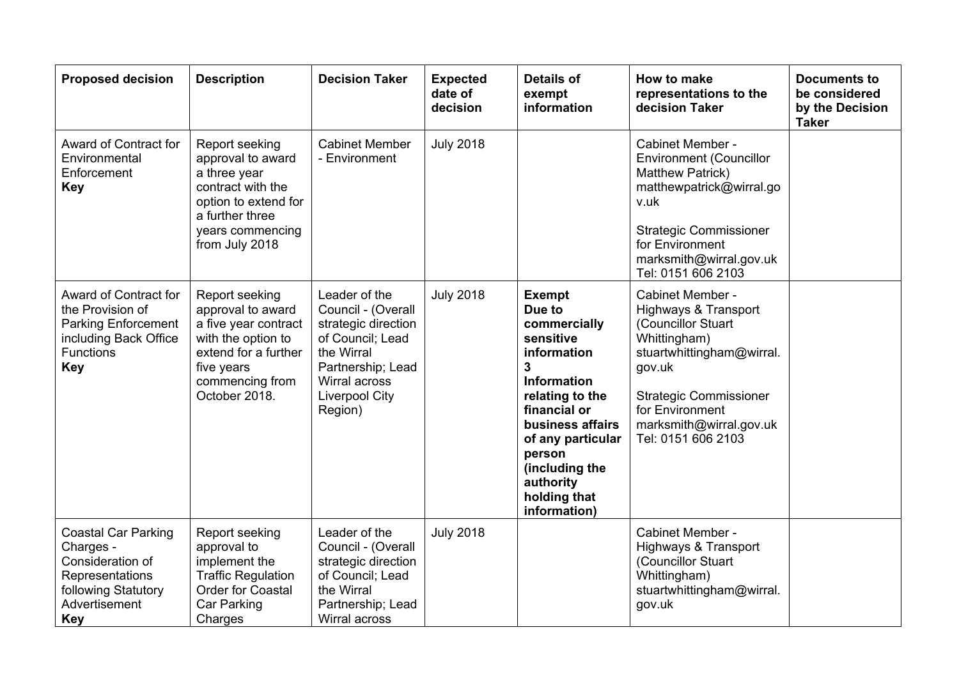| <b>Proposed decision</b>                                                                                                             | <b>Description</b>                                                                                                                                          | <b>Decision Taker</b>                                                                                                                                                  | <b>Expected</b><br>date of<br>decision | <b>Details of</b><br>exempt<br>information                                                                                                                                                                                                   | How to make<br>representations to the<br>decision Taker                                                                                                                                                                               | <b>Documents to</b><br>be considered<br>by the Decision<br><b>Taker</b> |
|--------------------------------------------------------------------------------------------------------------------------------------|-------------------------------------------------------------------------------------------------------------------------------------------------------------|------------------------------------------------------------------------------------------------------------------------------------------------------------------------|----------------------------------------|----------------------------------------------------------------------------------------------------------------------------------------------------------------------------------------------------------------------------------------------|---------------------------------------------------------------------------------------------------------------------------------------------------------------------------------------------------------------------------------------|-------------------------------------------------------------------------|
| Award of Contract for<br>Environmental<br>Enforcement<br><b>Key</b>                                                                  | Report seeking<br>approval to award<br>a three year<br>contract with the<br>option to extend for<br>a further three<br>years commencing<br>from July 2018   | <b>Cabinet Member</b><br>- Environment                                                                                                                                 | <b>July 2018</b>                       |                                                                                                                                                                                                                                              | Cabinet Member -<br><b>Environment (Councillor</b><br>Matthew Patrick)<br>matthewpatrick@wirral.go<br>v.uk<br><b>Strategic Commissioner</b><br>for Environment<br>marksmith@wirral.gov.uk<br>Tel: 0151 606 2103                       |                                                                         |
| Award of Contract for<br>the Provision of<br><b>Parking Enforcement</b><br>including Back Office<br><b>Functions</b><br><b>Key</b>   | Report seeking<br>approval to award<br>a five year contract<br>with the option to<br>extend for a further<br>five years<br>commencing from<br>October 2018. | Leader of the<br>Council - (Overall<br>strategic direction<br>of Council; Lead<br>the Wirral<br>Partnership; Lead<br>Wirral across<br><b>Liverpool City</b><br>Region) | <b>July 2018</b>                       | <b>Exempt</b><br>Due to<br>commercially<br>sensitive<br>information<br>3<br>Information<br>relating to the<br>financial or<br>business affairs<br>of any particular<br>person<br>(including the<br>authority<br>holding that<br>information) | Cabinet Member -<br><b>Highways &amp; Transport</b><br>(Councillor Stuart<br>Whittingham)<br>stuartwhittingham@wirral.<br>gov.uk<br><b>Strategic Commissioner</b><br>for Environment<br>marksmith@wirral.gov.uk<br>Tel: 0151 606 2103 |                                                                         |
| <b>Coastal Car Parking</b><br>Charges -<br>Consideration of<br>Representations<br>following Statutory<br>Advertisement<br><b>Key</b> | Report seeking<br>approval to<br>implement the<br><b>Traffic Regulation</b><br><b>Order for Coastal</b><br>Car Parking<br>Charges                           | Leader of the<br>Council - (Overall<br>strategic direction<br>of Council; Lead<br>the Wirral<br>Partnership; Lead<br>Wirral across                                     | <b>July 2018</b>                       |                                                                                                                                                                                                                                              | Cabinet Member -<br><b>Highways &amp; Transport</b><br>(Councillor Stuart<br>Whittingham)<br>stuartwhittingham@wirral.<br>gov.uk                                                                                                      |                                                                         |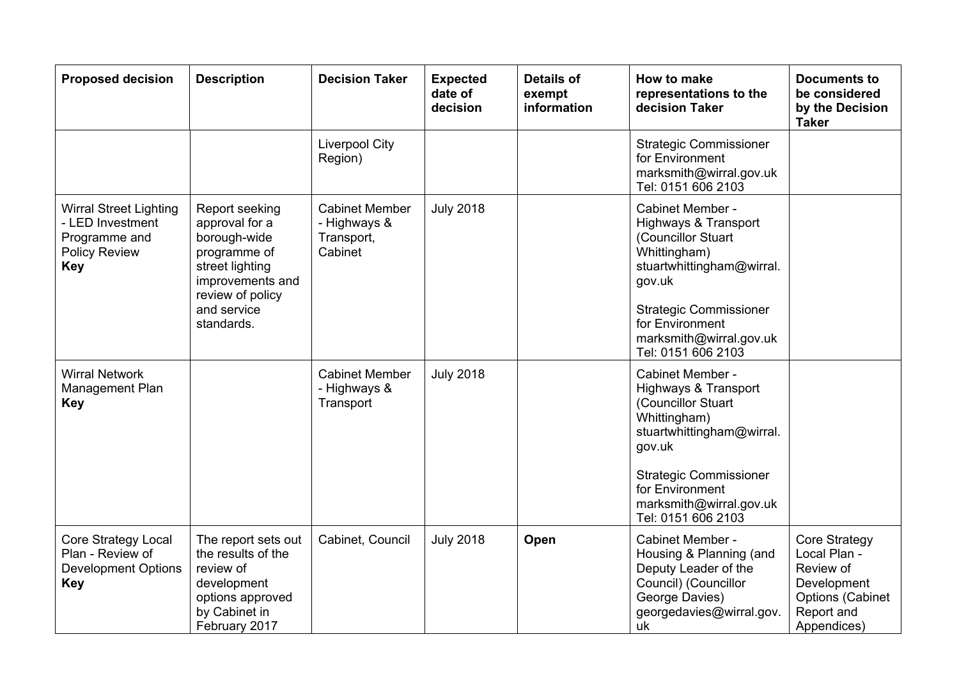| <b>Proposed decision</b>                                                                                 | <b>Description</b>                                                                                                                                       | <b>Decision Taker</b>                                          | <b>Expected</b><br>date of<br>decision | <b>Details of</b><br>exempt<br>information | How to make<br>representations to the<br>decision Taker                                                                                                                                                                               | <b>Documents to</b><br>be considered<br>by the Decision<br><b>Taker</b>                                                  |
|----------------------------------------------------------------------------------------------------------|----------------------------------------------------------------------------------------------------------------------------------------------------------|----------------------------------------------------------------|----------------------------------------|--------------------------------------------|---------------------------------------------------------------------------------------------------------------------------------------------------------------------------------------------------------------------------------------|--------------------------------------------------------------------------------------------------------------------------|
|                                                                                                          |                                                                                                                                                          | <b>Liverpool City</b><br>Region)                               |                                        |                                            | <b>Strategic Commissioner</b><br>for Environment<br>marksmith@wirral.gov.uk<br>Tel: 0151 606 2103                                                                                                                                     |                                                                                                                          |
| <b>Wirral Street Lighting</b><br>- LED Investment<br>Programme and<br><b>Policy Review</b><br><b>Key</b> | Report seeking<br>approval for a<br>borough-wide<br>programme of<br>street lighting<br>improvements and<br>review of policy<br>and service<br>standards. | <b>Cabinet Member</b><br>- Highways &<br>Transport,<br>Cabinet | <b>July 2018</b>                       |                                            | Cabinet Member -<br><b>Highways &amp; Transport</b><br>(Councillor Stuart<br>Whittingham)<br>stuartwhittingham@wirral.<br>gov.uk<br><b>Strategic Commissioner</b><br>for Environment<br>marksmith@wirral.gov.uk<br>Tel: 0151 606 2103 |                                                                                                                          |
| <b>Wirral Network</b><br>Management Plan<br><b>Key</b>                                                   |                                                                                                                                                          | <b>Cabinet Member</b><br>- Highways &<br>Transport             | <b>July 2018</b>                       |                                            | Cabinet Member -<br>Highways & Transport<br>(Councillor Stuart<br>Whittingham)<br>stuartwhittingham@wirral.<br>gov.uk<br><b>Strategic Commissioner</b><br>for Environment<br>marksmith@wirral.gov.uk<br>Tel: 0151 606 2103            |                                                                                                                          |
| <b>Core Strategy Local</b><br>Plan - Review of<br><b>Development Options</b><br><b>Key</b>               | The report sets out<br>the results of the<br>review of<br>development<br>options approved<br>by Cabinet in<br>February 2017                              | Cabinet, Council                                               | <b>July 2018</b>                       | Open                                       | Cabinet Member -<br>Housing & Planning (and<br>Deputy Leader of the<br>Council) (Councillor<br>George Davies)<br>georgedavies@wirral.gov.<br>uk                                                                                       | <b>Core Strategy</b><br>Local Plan -<br>Review of<br>Development<br><b>Options (Cabinet</b><br>Report and<br>Appendices) |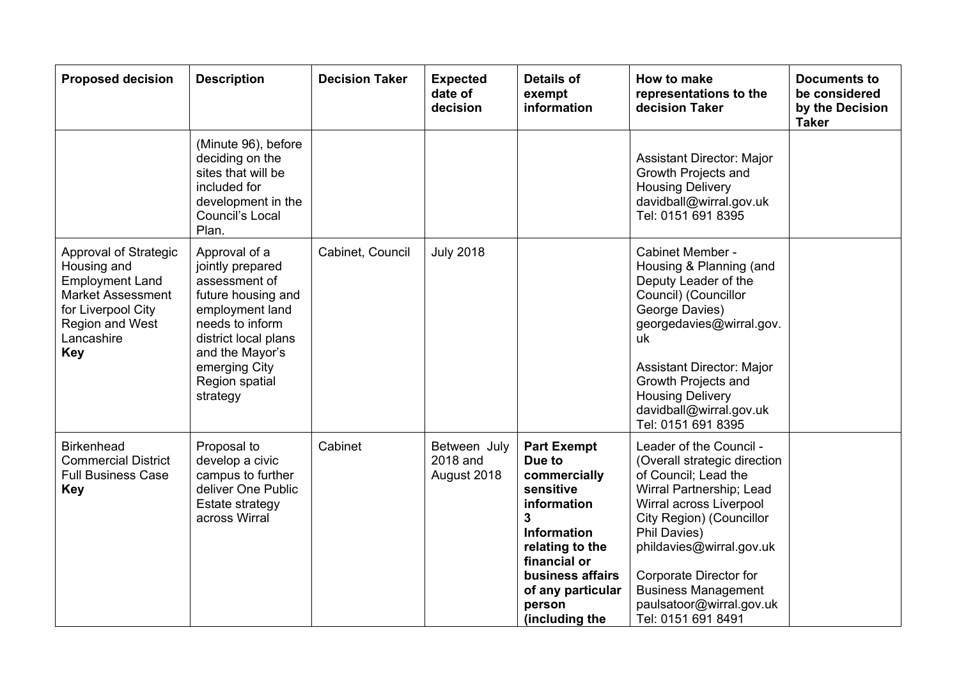| <b>Proposed decision</b>                                                                                                                                        | <b>Description</b>                                                                                                                                                                                       | <b>Decision Taker</b> | <b>Expected</b><br>date of<br>decision  | <b>Details of</b><br>exempt<br>information                                                                                                                                                                  | How to make<br>representations to the<br>decision Taker                                                                                                                                                                                                                                                                  | Documents to<br>be considered<br>by the Decision<br><b>Taker</b> |
|-----------------------------------------------------------------------------------------------------------------------------------------------------------------|----------------------------------------------------------------------------------------------------------------------------------------------------------------------------------------------------------|-----------------------|-----------------------------------------|-------------------------------------------------------------------------------------------------------------------------------------------------------------------------------------------------------------|--------------------------------------------------------------------------------------------------------------------------------------------------------------------------------------------------------------------------------------------------------------------------------------------------------------------------|------------------------------------------------------------------|
|                                                                                                                                                                 | (Minute 96), before<br>deciding on the<br>sites that will be<br>included for<br>development in the<br>Council's Local<br>Plan.                                                                           |                       |                                         |                                                                                                                                                                                                             | Assistant Director: Major<br>Growth Projects and<br><b>Housing Delivery</b><br>davidball@wirral.gov.uk<br>Tel: 0151 691 8395                                                                                                                                                                                             |                                                                  |
| Approval of Strategic<br>Housing and<br><b>Employment Land</b><br><b>Market Assessment</b><br>for Liverpool City<br>Region and West<br>Lancashire<br><b>Key</b> | Approval of a<br>jointly prepared<br>assessment of<br>future housing and<br>employment land<br>needs to inform<br>district local plans<br>and the Mayor's<br>emerging City<br>Region spatial<br>strategy | Cabinet, Council      | <b>July 2018</b>                        |                                                                                                                                                                                                             | Cabinet Member -<br>Housing & Planning (and<br>Deputy Leader of the<br>Council) (Councillor<br>George Davies)<br>georgedavies@wirral.gov.<br>uk<br><b>Assistant Director: Major</b><br>Growth Projects and<br><b>Housing Delivery</b><br>davidball@wirral.gov.uk<br>Tel: 0151 691 8395                                   |                                                                  |
| <b>Birkenhead</b><br><b>Commercial District</b><br><b>Full Business Case</b><br><b>Key</b>                                                                      | Proposal to<br>develop a civic<br>campus to further<br>deliver One Public<br>Estate strategy<br>across Wirral                                                                                            | Cabinet               | Between July<br>2018 and<br>August 2018 | <b>Part Exempt</b><br>Due to<br>commercially<br>sensitive<br>information<br>3<br><b>Information</b><br>relating to the<br>financial or<br>business affairs<br>of any particular<br>person<br>(including the | Leader of the Council -<br>(Overall strategic direction<br>of Council; Lead the<br>Wirral Partnership; Lead<br>Wirral across Liverpool<br>City Region) (Councillor<br>Phil Davies)<br>phildavies@wirral.gov.uk<br>Corporate Director for<br><b>Business Management</b><br>paulsatoor@wirral.gov.uk<br>Tel: 0151 691 8491 |                                                                  |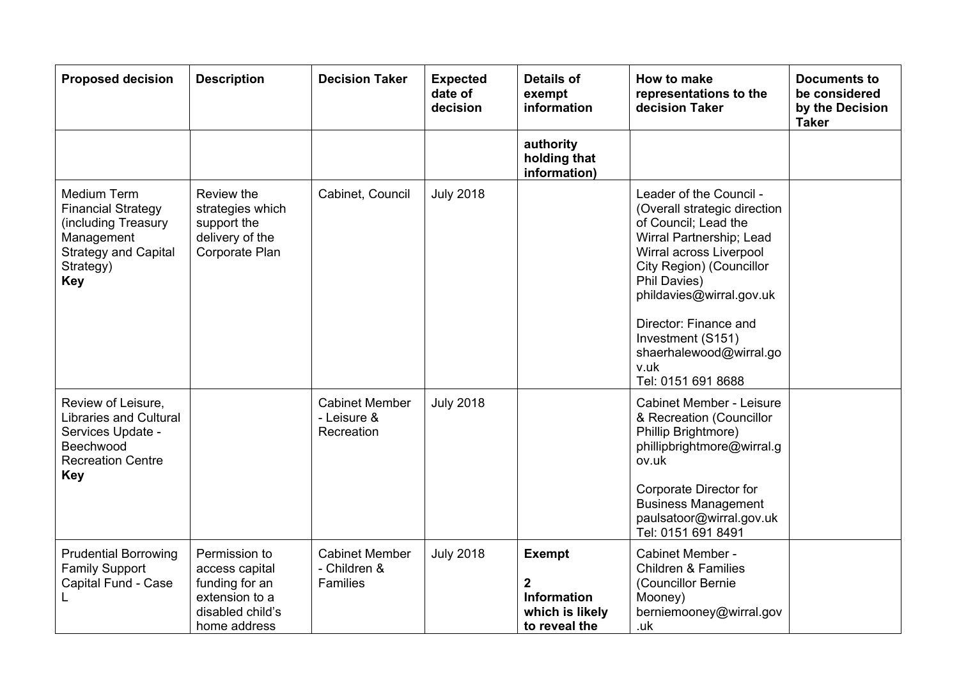| <b>Proposed decision</b>                                                                                                                | <b>Description</b>                                                                                      | <b>Decision Taker</b>                                    | <b>Expected</b><br>date of<br>decision | <b>Details of</b><br>exempt<br>information                                                  | How to make<br>representations to the<br>decision Taker                                                                                                                                                                                                                                                               | <b>Documents to</b><br>be considered<br>by the Decision<br><b>Taker</b> |
|-----------------------------------------------------------------------------------------------------------------------------------------|---------------------------------------------------------------------------------------------------------|----------------------------------------------------------|----------------------------------------|---------------------------------------------------------------------------------------------|-----------------------------------------------------------------------------------------------------------------------------------------------------------------------------------------------------------------------------------------------------------------------------------------------------------------------|-------------------------------------------------------------------------|
|                                                                                                                                         |                                                                                                         |                                                          |                                        | authority<br>holding that<br>information)                                                   |                                                                                                                                                                                                                                                                                                                       |                                                                         |
| Medium Term<br><b>Financial Strategy</b><br>(including Treasury<br>Management<br><b>Strategy and Capital</b><br>Strategy)<br><b>Key</b> | Review the<br>strategies which<br>support the<br>delivery of the<br>Corporate Plan                      | Cabinet, Council                                         | <b>July 2018</b>                       |                                                                                             | Leader of the Council -<br>(Overall strategic direction<br>of Council; Lead the<br>Wirral Partnership; Lead<br>Wirral across Liverpool<br>City Region) (Councillor<br>Phil Davies)<br>phildavies@wirral.gov.uk<br>Director: Finance and<br>Investment (S151)<br>shaerhalewood@wirral.go<br>v.uk<br>Tel: 0151 691 8688 |                                                                         |
| Review of Leisure,<br><b>Libraries and Cultural</b><br>Services Update -<br>Beechwood<br><b>Recreation Centre</b><br><b>Key</b>         |                                                                                                         | <b>Cabinet Member</b><br>- Leisure &<br>Recreation       | <b>July 2018</b>                       |                                                                                             | <b>Cabinet Member - Leisure</b><br>& Recreation (Councillor<br>Phillip Brightmore)<br>phillipbrightmore@wirral.g<br>ov.uk<br>Corporate Director for<br><b>Business Management</b><br>paulsatoor@wirral.gov.uk<br>Tel: 0151 691 8491                                                                                   |                                                                         |
| <b>Prudential Borrowing</b><br><b>Family Support</b><br>Capital Fund - Case                                                             | Permission to<br>access capital<br>funding for an<br>extension to a<br>disabled child's<br>home address | <b>Cabinet Member</b><br>- Children &<br><b>Families</b> | <b>July 2018</b>                       | <b>Exempt</b><br>$\boldsymbol{2}$<br><b>Information</b><br>which is likely<br>to reveal the | Cabinet Member -<br><b>Children &amp; Families</b><br>(Councillor Bernie<br>Mooney)<br>berniemooney@wirral.gov<br>.uk                                                                                                                                                                                                 |                                                                         |